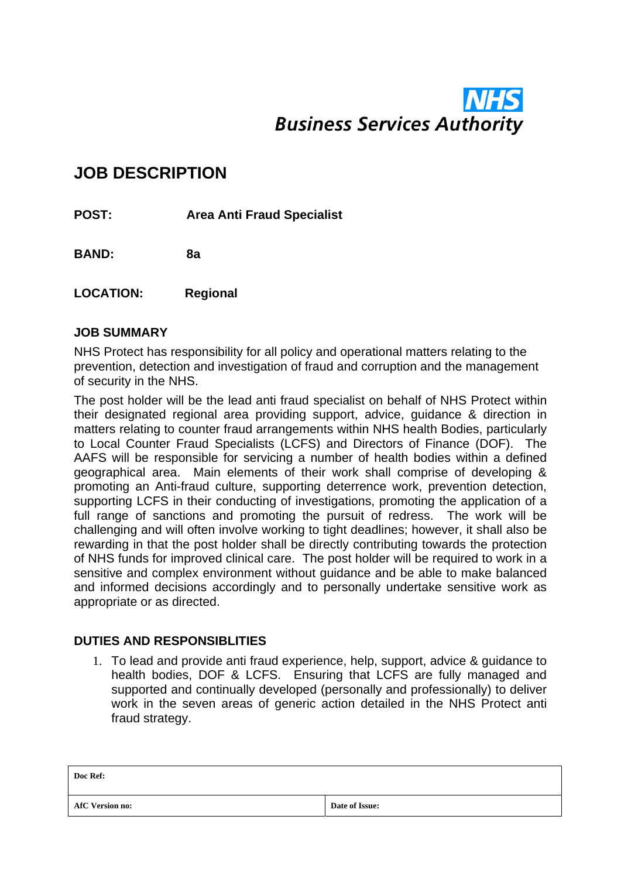# **Business Services Authority**

## **JOB DESCRIPTION**

**POST: Area Anti Fraud Specialist** 

**BAND: 8a** 

**LOCATION: Regional** 

#### **JOB SUMMARY**

NHS Protect has responsibility for all policy and operational matters relating to the prevention, detection and investigation of fraud and corruption and the management of security in the NHS.

The post holder will be the lead anti fraud specialist on behalf of NHS Protect within their designated regional area providing support, advice, guidance & direction in matters relating to counter fraud arrangements within NHS health Bodies, particularly to Local Counter Fraud Specialists (LCFS) and Directors of Finance (DOF). The AAFS will be responsible for servicing a number of health bodies within a defined geographical area. Main elements of their work shall comprise of developing & promoting an Anti-fraud culture, supporting deterrence work, prevention detection, supporting LCFS in their conducting of investigations, promoting the application of a full range of sanctions and promoting the pursuit of redress. The work will be challenging and will often involve working to tight deadlines; however, it shall also be rewarding in that the post holder shall be directly contributing towards the protection of NHS funds for improved clinical care. The post holder will be required to work in a sensitive and complex environment without guidance and be able to make balanced and informed decisions accordingly and to personally undertake sensitive work as appropriate or as directed.

#### **DUTIES AND RESPONSIBLITIES**

1. To lead and provide anti fraud experience, help, support, advice & guidance to health bodies, DOF & LCFS. Ensuring that LCFS are fully managed and supported and continually developed (personally and professionally) to deliver work in the seven areas of generic action detailed in the NHS Protect anti fraud strategy.

| Doc Ref:               |                |
|------------------------|----------------|
| <b>AfC Version no:</b> | Date of Issue: |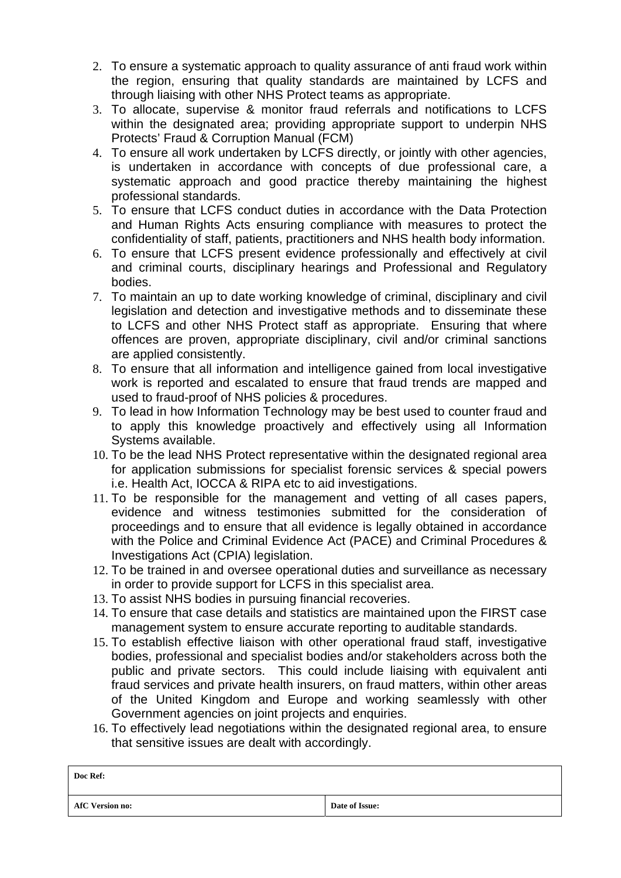- 2. To ensure a systematic approach to quality assurance of anti fraud work within the region, ensuring that quality standards are maintained by LCFS and through liaising with other NHS Protect teams as appropriate.
- 3. To allocate, supervise & monitor fraud referrals and notifications to LCFS within the designated area; providing appropriate support to underpin NHS Protects' Fraud & Corruption Manual (FCM)
- 4. To ensure all work undertaken by LCFS directly, or jointly with other agencies, is undertaken in accordance with concepts of due professional care, a systematic approach and good practice thereby maintaining the highest professional standards.
- 5. To ensure that LCFS conduct duties in accordance with the Data Protection and Human Rights Acts ensuring compliance with measures to protect the confidentiality of staff, patients, practitioners and NHS health body information.
- 6. To ensure that LCFS present evidence professionally and effectively at civil and criminal courts, disciplinary hearings and Professional and Regulatory bodies.
- 7. To maintain an up to date working knowledge of criminal, disciplinary and civil legislation and detection and investigative methods and to disseminate these to LCFS and other NHS Protect staff as appropriate. Ensuring that where offences are proven, appropriate disciplinary, civil and/or criminal sanctions are applied consistently.
- 8. To ensure that all information and intelligence gained from local investigative work is reported and escalated to ensure that fraud trends are mapped and used to fraud-proof of NHS policies & procedures.
- 9. To lead in how Information Technology may be best used to counter fraud and to apply this knowledge proactively and effectively using all Information Systems available.
- 10. To be the lead NHS Protect representative within the designated regional area for application submissions for specialist forensic services & special powers i.e. Health Act, IOCCA & RIPA etc to aid investigations.
- 11. To be responsible for the management and vetting of all cases papers, evidence and witness testimonies submitted for the consideration of proceedings and to ensure that all evidence is legally obtained in accordance with the Police and Criminal Evidence Act (PACE) and Criminal Procedures & Investigations Act (CPIA) legislation.
- 12. To be trained in and oversee operational duties and surveillance as necessary in order to provide support for LCFS in this specialist area.
- 13. To assist NHS bodies in pursuing financial recoveries.
- 14. To ensure that case details and statistics are maintained upon the FIRST case management system to ensure accurate reporting to auditable standards.
- 15. To establish effective liaison with other operational fraud staff, investigative bodies, professional and specialist bodies and/or stakeholders across both the public and private sectors. This could include liaising with equivalent anti fraud services and private health insurers, on fraud matters, within other areas of the United Kingdom and Europe and working seamlessly with other Government agencies on joint projects and enquiries.
- 16. To effectively lead negotiations within the designated regional area, to ensure that sensitive issues are dealt with accordingly.

| Doc Ref:               |                |
|------------------------|----------------|
| <b>AfC Version no:</b> | Date of Issue: |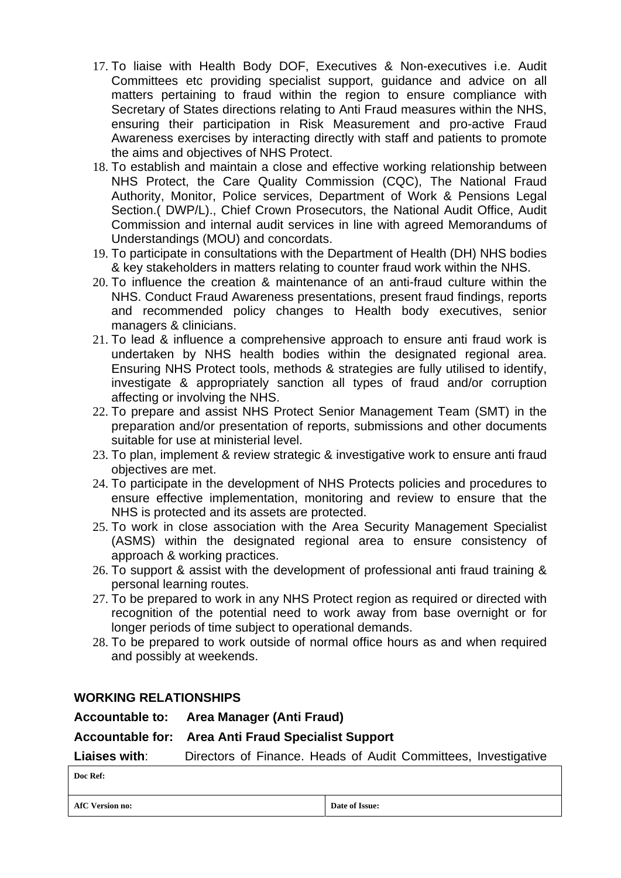- 17. To liaise with Health Body DOF, Executives & Non-executives i.e. Audit Committees etc providing specialist support, guidance and advice on all matters pertaining to fraud within the region to ensure compliance with Secretary of States directions relating to Anti Fraud measures within the NHS, ensuring their participation in Risk Measurement and pro-active Fraud Awareness exercises by interacting directly with staff and patients to promote the aims and objectives of NHS Protect.
- 18. To establish and maintain a close and effective working relationship between NHS Protect, the Care Quality Commission (CQC), The National Fraud Authority, Monitor, Police services, Department of Work & Pensions Legal Section.( DWP/L)., Chief Crown Prosecutors, the National Audit Office, Audit Commission and internal audit services in line with agreed Memorandums of Understandings (MOU) and concordats.
- 19. To participate in consultations with the Department of Health (DH) NHS bodies & key stakeholders in matters relating to counter fraud work within the NHS.
- 20. To influence the creation & maintenance of an anti-fraud culture within the NHS. Conduct Fraud Awareness presentations, present fraud findings, reports and recommended policy changes to Health body executives, senior managers & clinicians.
- 21. To lead & influence a comprehensive approach to ensure anti fraud work is undertaken by NHS health bodies within the designated regional area. Ensuring NHS Protect tools, methods & strategies are fully utilised to identify, investigate & appropriately sanction all types of fraud and/or corruption affecting or involving the NHS.
- 22. To prepare and assist NHS Protect Senior Management Team (SMT) in the preparation and/or presentation of reports, submissions and other documents suitable for use at ministerial level.
- 23. To plan, implement & review strategic & investigative work to ensure anti fraud objectives are met.
- 24. To participate in the development of NHS Protects policies and procedures to ensure effective implementation, monitoring and review to ensure that the NHS is protected and its assets are protected.
- 25. To work in close association with the Area Security Management Specialist (ASMS) within the designated regional area to ensure consistency of approach & working practices.
- 26. To support & assist with the development of professional anti fraud training & personal learning routes.
- 27. To be prepared to work in any NHS Protect region as required or directed with recognition of the potential need to work away from base overnight or for longer periods of time subject to operational demands.
- 28. To be prepared to work outside of normal office hours as and when required and possibly at weekends.

#### **WORKING RELATIONSHIPS**

**Accountable to: Area Manager (Anti Fraud)** 

#### **Accountable for: Area Anti Fraud Specialist Support**

**Liaises with**: Directors of Finance. Heads of Audit Committees, Investigative

**AfC Version no:** Date of Issue: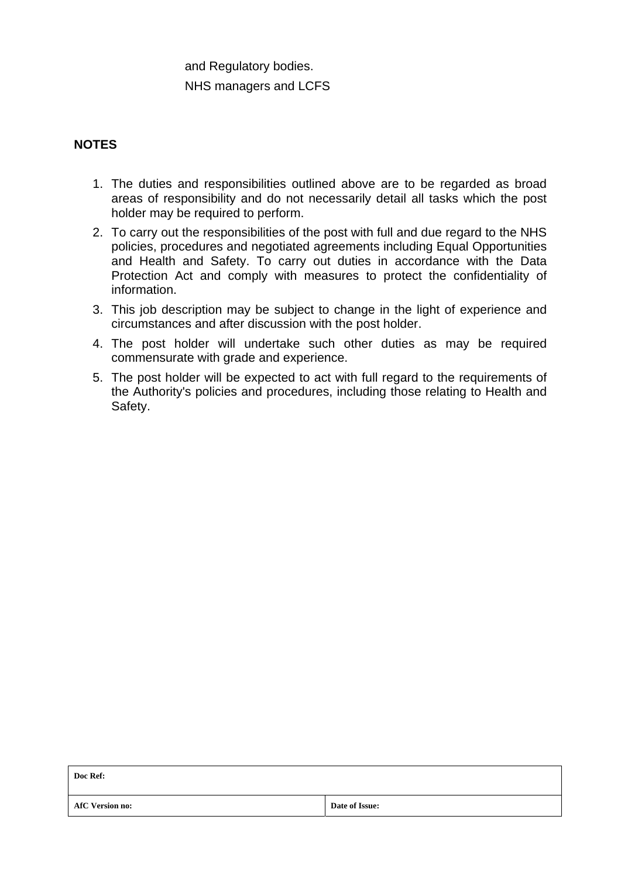### and Regulatory bodies. NHS managers and LCFS

#### **NOTES**

- 1. The duties and responsibilities outlined above are to be regarded as broad areas of responsibility and do not necessarily detail all tasks which the post holder may be required to perform.
- 2. To carry out the responsibilities of the post with full and due regard to the NHS policies, procedures and negotiated agreements including Equal Opportunities and Health and Safety. To carry out duties in accordance with the Data Protection Act and comply with measures to protect the confidentiality of information.
- 3. This job description may be subject to change in the light of experience and circumstances and after discussion with the post holder.
- 4. The post holder will undertake such other duties as may be required commensurate with grade and experience.
- 5. The post holder will be expected to act with full regard to the requirements of the Authority's policies and procedures, including those relating to Health and Safety.

| Doc Ref:               |                |
|------------------------|----------------|
| <b>AfC Version no:</b> | Date of Issue: |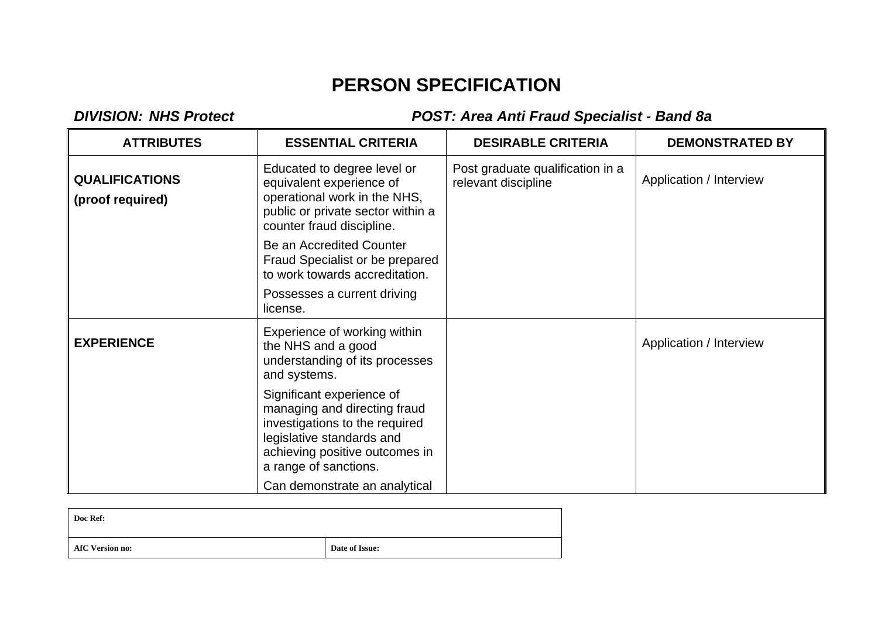# **PERSON SPECIFICATION**

# *DIVISION: NHS Protect POST: Area Anti Fraud Specialist - Band 8a*

| <b>ATTRIBUTES</b>                         | <b>ESSENTIAL CRITERIA</b>                                                                                                                                                           | <b>DESIRABLE CRITERIA</b>                               | <b>DEMONSTRATED BY</b>  |
|-------------------------------------------|-------------------------------------------------------------------------------------------------------------------------------------------------------------------------------------|---------------------------------------------------------|-------------------------|
| <b>QUALIFICATIONS</b><br>(proof required) | Educated to degree level or<br>equivalent experience of<br>operational work in the NHS,<br>public or private sector within a<br>counter fraud discipline.                           | Post graduate qualification in a<br>relevant discipline | Application / Interview |
|                                           | Be an Accredited Counter<br>Fraud Specialist or be prepared<br>to work towards accreditation.                                                                                       |                                                         |                         |
|                                           | Possesses a current driving<br>license.                                                                                                                                             |                                                         |                         |
| <b>EXPERIENCE</b>                         | Experience of working within<br>the NHS and a good<br>understanding of its processes<br>and systems.                                                                                |                                                         | Application / Interview |
|                                           | Significant experience of<br>managing and directing fraud<br>investigations to the required<br>legislative standards and<br>achieving positive outcomes in<br>a range of sanctions. |                                                         |                         |
|                                           | Can demonstrate an analytical                                                                                                                                                       |                                                         |                         |

| Doc Ref:               |                |
|------------------------|----------------|
| <b>AfC Version no:</b> | Date of Issue: |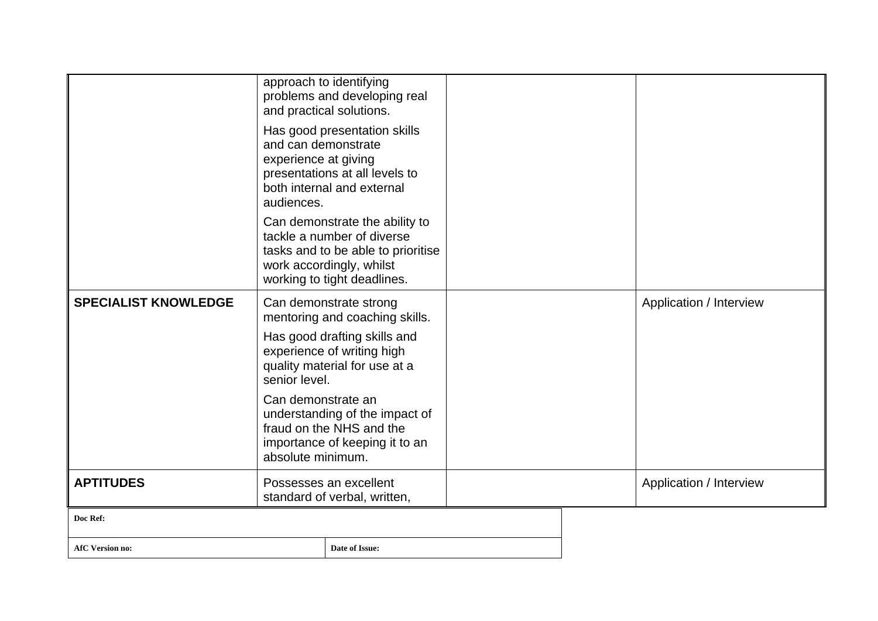|                             | approach to identifying                                                                                                                 | problems and developing real<br>and practical solutions.<br>Has good presentation skills                                                                      |  |  |                         |
|-----------------------------|-----------------------------------------------------------------------------------------------------------------------------------------|---------------------------------------------------------------------------------------------------------------------------------------------------------------|--|--|-------------------------|
|                             | and can demonstrate<br>experience at giving<br>audiences.                                                                               | presentations at all levels to<br>both internal and external                                                                                                  |  |  |                         |
|                             |                                                                                                                                         | Can demonstrate the ability to<br>tackle a number of diverse<br>tasks and to be able to prioritise<br>work accordingly, whilst<br>working to tight deadlines. |  |  |                         |
| <b>SPECIALIST KNOWLEDGE</b> | Can demonstrate strong<br>mentoring and coaching skills.                                                                                |                                                                                                                                                               |  |  | Application / Interview |
|                             | Has good drafting skills and<br>experience of writing high<br>quality material for use at a<br>senior level.                            |                                                                                                                                                               |  |  |                         |
|                             | Can demonstrate an<br>understanding of the impact of<br>fraud on the NHS and the<br>importance of keeping it to an<br>absolute minimum. |                                                                                                                                                               |  |  |                         |
| <b>APTITUDES</b>            | Possesses an excellent<br>standard of verbal, written,                                                                                  |                                                                                                                                                               |  |  | Application / Interview |
| Doc Ref:                    |                                                                                                                                         |                                                                                                                                                               |  |  |                         |
| <b>AfC Version no:</b>      |                                                                                                                                         | Date of Issue:                                                                                                                                                |  |  |                         |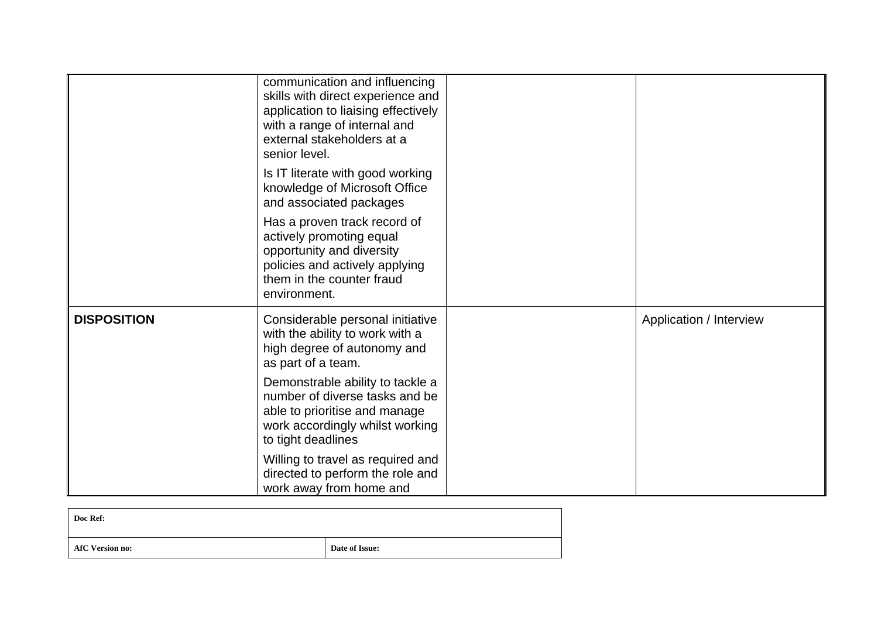|                    | communication and influencing<br>skills with direct experience and<br>application to liaising effectively<br>with a range of internal and<br>external stakeholders at a<br>senior level. |                         |
|--------------------|------------------------------------------------------------------------------------------------------------------------------------------------------------------------------------------|-------------------------|
|                    | Is IT literate with good working<br>knowledge of Microsoft Office<br>and associated packages                                                                                             |                         |
|                    | Has a proven track record of<br>actively promoting equal<br>opportunity and diversity<br>policies and actively applying<br>them in the counter fraud<br>environment.                     |                         |
| <b>DISPOSITION</b> | Considerable personal initiative<br>with the ability to work with a<br>high degree of autonomy and<br>as part of a team.                                                                 | Application / Interview |
|                    | Demonstrable ability to tackle a<br>number of diverse tasks and be<br>able to prioritise and manage<br>work accordingly whilst working<br>to tight deadlines                             |                         |
|                    | Willing to travel as required and<br>directed to perform the role and<br>work away from home and                                                                                         |                         |

| Doc Ref:               |                |
|------------------------|----------------|
| <b>AfC Version no:</b> | Date of Issue: |